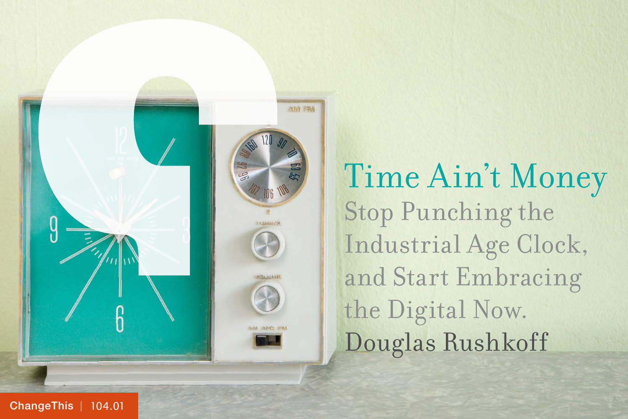

Time Ain't Money Stop Punching the Industrial Age Clock, and Start Embracing the Digital Now. Douglas Rushkoff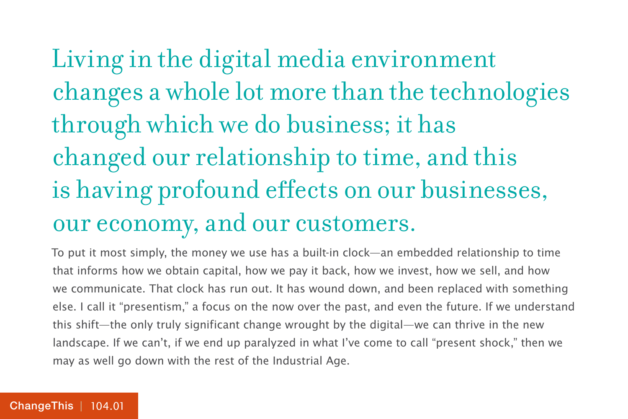## Living in the digital media environment changes a whole lot more than the technologies through which we do business; it has changed our relationship to time, and this is having profound effects on our businesses, our economy, and our customers.

To put it most simply, the money we use has a built-in clock—an embedded relationship to time that informs how we obtain capital, how we pay it back, how we invest, how we sell, and how we communicate. That clock has run out. It has wound down, and been replaced with something else. I call it "presentism," a focus on the now over the past, and even the future. If we understand this shift—the only truly significant change wrought by the digital—we can thrive in the new landscape. If we can't, if we end up paralyzed in what I've come to call "present shock," then we may as well go down with the rest of the Industrial Age.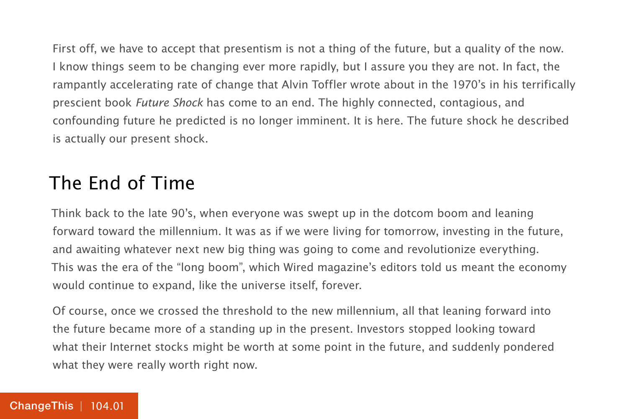First off, we have to accept that presentism is not a thing of the future, but a quality of the now. I know things seem to be changing ever more rapidly, but I assure you they are not. In fact, the rampantly accelerating rate of change that Alvin Toffler wrote about in the 1970's in his terrifically prescient book Future Shock has come to an end. The highly connected, contagious, and confounding future he predicted is no longer imminent. It is here. The future shock he described is actually our present shock.

### The End of Time

Think back to the late 90's, when everyone was swept up in the dotcom boom and leaning forward toward the millennium. It was as if we were living for tomorrow, investing in the future, and awaiting whatever next new big thing was going to come and revolutionize everything. This was the era of the "long boom", which Wired magazine's editors told us meant the economy would continue to expand, like the universe itself, forever.

Of course, once we crossed the threshold to the new millennium, all that leaning forward into the future became more of a standing up in the present. Investors stopped looking toward what their Internet stocks might be worth at some point in the future, and suddenly pondered what they were really worth right now.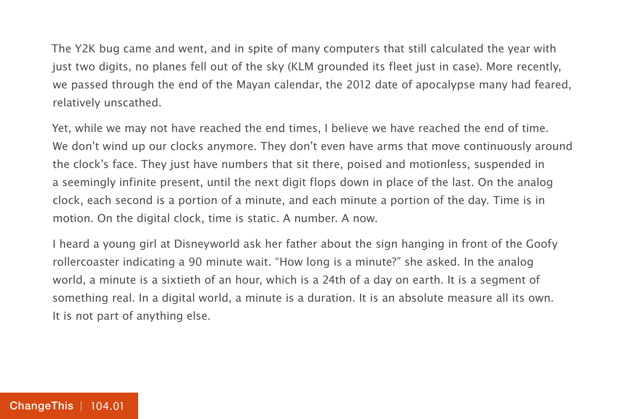The Y2K bug came and went, and in spite of many computers that still calculated the year with just two digits, no planes fell out of the sky (KLM grounded its fleet just in case). More recently, we passed through the end of the Mayan calendar, the 2012 date of apocalypse many had feared, relatively unscathed.

Yet, while we may not have reached the end times, I believe we have reached the end of time. We don't wind up our clocks anymore. They don't even have arms that move continuously around the clock's face. They just have numbers that sit there, poised and motionless, suspended in a seemingly infinite present, until the next digit flops down in place of the last. On the analog clock, each second is a portion of a minute, and each minute a portion of the day. Time is in motion. On the digital clock, time is static. A number. A now.

I heard a young girl at Disneyworld ask her father about the sign hanging in front of the Goofy rollercoaster indicating a 90 minute wait. "How long is a minute?" she asked. In the analog world, a minute is a sixtieth of an hour, which is a 24th of a day on earth. It is a segment of something real. In a digital world, a minute is a duration. It is an absolute measure all its own. It is not part of anything else.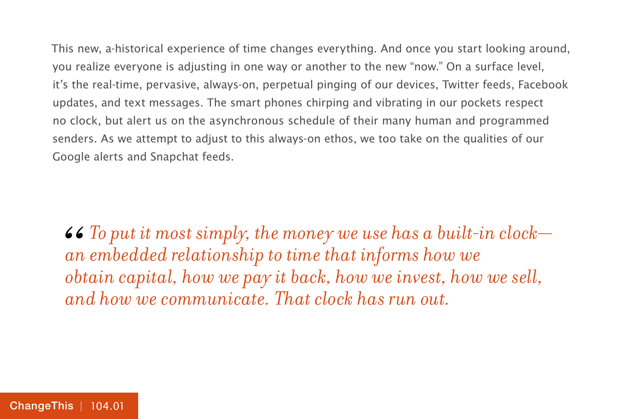This new, a-historical experience of time changes everything. And once you start looking around, you realize everyone is adjusting in one way or another to the new "now." On a surface level, it's the real-time, pervasive, always-on, perpetual pinging of our devices, Twitter feeds, Facebook updates, and text messages. The smart phones chirping and vibrating in our pockets respect no clock, but alert us on the asynchronous schedule of their many human and programmed senders. As we attempt to adjust to this always-on ethos, we too take on the qualities of our Google alerts and Snapchat feeds.

*To put it most simply, the money we use has a built-in clock an embedded relationship to time that informs how we obtain capital, how we pay it back, how we invest, how we sell, and how we communicate. That clock has run out.* 66<br>*an*<br>*ob*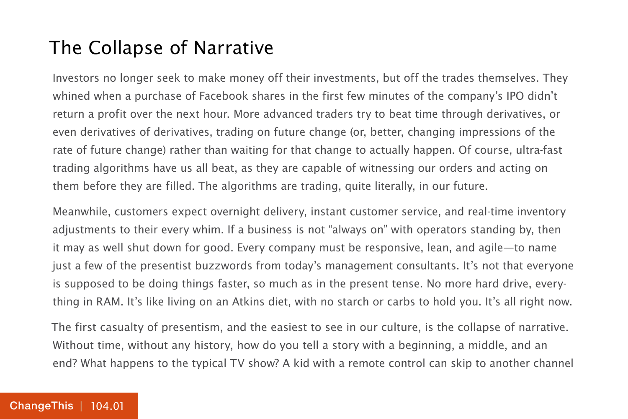#### The Collapse of Narrative

Investors no longer seek to make money off their investments, but off the trades themselves. They whined when a purchase of Facebook shares in the first few minutes of the company's IPO didn't return a profit over the next hour. More advanced traders try to beat time through derivatives, or even derivatives of derivatives, trading on future change (or, better, changing impressions of the rate of future change) rather than waiting for that change to actually happen. Of course, ultra-fast trading algorithms have us all beat, as they are capable of witnessing our orders and acting on them before they are filled. The algorithms are trading, quite literally, in our future.

Meanwhile, customers expect overnight delivery, instant customer service, and real-time inventory adjustments to their every whim. If a business is not "always on" with operators standing by, then it may as well shut down for good. Every company must be responsive, lean, and agile—to name just a few of the presentist buzzwords from today's management consultants. It's not that everyone is supposed to be doing things faster, so much as in the present tense. No more hard drive, everything in RAM. It's like living on an Atkins diet, with no starch or carbs to hold you. It's all right now.

The first casualty of presentism, and the easiest to see in our culture, is the collapse of narrative. Without time, without any history, how do you tell a story with a beginning, a middle, and an end? What happens to the typical TV show? A kid with a remote control can skip to another channel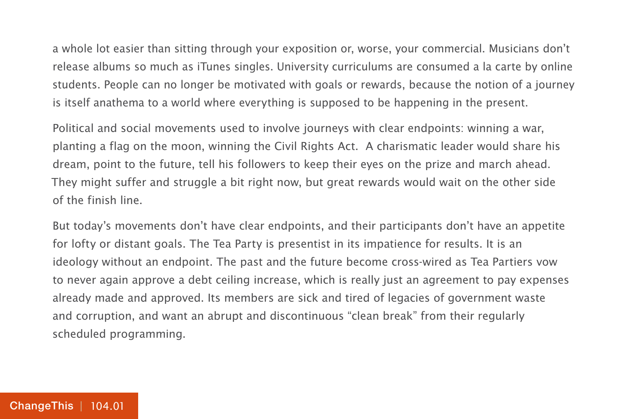a whole lot easier than sitting through your exposition or, worse, your commercial. Musicians don't release albums so much as iTunes singles. University curriculums are consumed a la carte by online students. People can no longer be motivated with goals or rewards, because the notion of a journey is itself anathema to a world where everything is supposed to be happening in the present.

Political and social movements used to involve journeys with clear endpoints: winning a war, planting a flag on the moon, winning the Civil Rights Act. A charismatic leader would share his dream, point to the future, tell his followers to keep their eyes on the prize and march ahead. They might suffer and struggle a bit right now, but great rewards would wait on the other side of the finish line.

But today's movements don't have clear endpoints, and their participants don't have an appetite for lofty or distant goals. The Tea Party is presentist in its impatience for results. It is an ideology without an endpoint. The past and the future become cross-wired as Tea Partiers vow to never again approve a debt ceiling increase, which is really just an agreement to pay expenses already made and approved. Its members are sick and tired of legacies of government waste and corruption, and want an abrupt and discontinuous "clean break" from their regularly scheduled programming.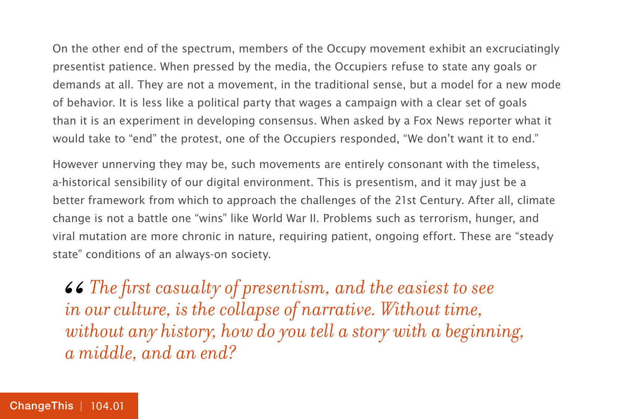On the other end of the spectrum, members of the Occupy movement exhibit an excruciatingly presentist patience. When pressed by the media, the Occupiers refuse to state any goals or demands at all. They are not a movement, in the traditional sense, but a model for a new mode of behavior. It is less like a political party that wages a campaign with a clear set of goals than it is an experiment in developing consensus. When asked by a Fox News reporter what it would take to "end" the protest, one of the Occupiers responded, "We don't want it to end."

However unnerving they may be, such movements are entirely consonant with the timeless, a-historical sensibility of our digital environment. This is presentism, and it may just be a better framework from which to approach the challenges of the 21st Century. After all, climate change is not a battle one "wins" like World War II. Problems such as terrorism, hunger, and viral mutation are more chronic in nature, requiring patient, ongoing effort. These are "steady state" conditions of an always-on society.

**46** The first casualty of presentism, and the easiest to see in our culture, is the collapse of narrative. Without time, without any history, how do you tell a story with a beginning *in our culture, is the collapse of narrative. Without time, without any history, how do you tell a story with a beginning, a middle, and an end?*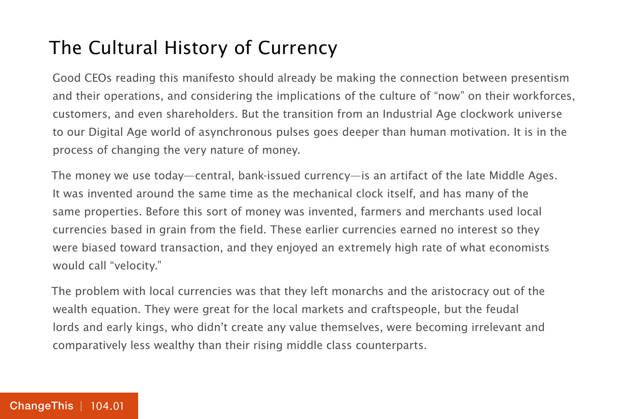#### The Cultural History of Currency

Good CEOs reading this manifesto should already be making the connection between presentism and their operations, and considering the implications of the culture of "now" on their workforces, customers, and even shareholders. But the transition from an Industrial Age clockwork universe to our Digital Age world of asynchronous pulses goes deeper than human motivation. It is in the process of changing the very nature of money.

The money we use today—central, bank-issued currency—is an artifact of the late Middle Ages. It was invented around the same time as the mechanical clock itself, and has many of the same properties. Before this sort of money was invented, farmers and merchants used local currencies based in grain from the field. These earlier currencies earned no interest so they were biased toward transaction, and they enjoyed an extremely high rate of what economists would call "velocity."

The problem with local currencies was that they left monarchs and the aristocracy out of the wealth equation. They were great for the local markets and craftspeople, but the feudal lords and early kings, who didn't create any value themselves, were becoming irrelevant and comparatively less wealthy than their rising middle class counterparts.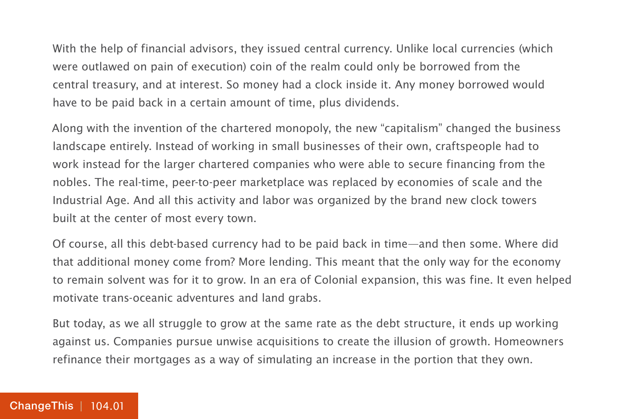With the help of financial advisors, they issued central currency. Unlike local currencies (which were outlawed on pain of execution) coin of the realm could only be borrowed from the central treasury, and at interest. So money had a clock inside it. Any money borrowed would have to be paid back in a certain amount of time, plus dividends.

Along with the invention of the chartered monopoly, the new "capitalism" changed the business landscape entirely. Instead of working in small businesses of their own, craftspeople had to work instead for the larger chartered companies who were able to secure financing from the nobles. The real-time, peer-to-peer marketplace was replaced by economies of scale and the Industrial Age. And all this activity and labor was organized by the brand new clock towers built at the center of most every town.

Of course, all this debt-based currency had to be paid back in time—and then some. Where did that additional money come from? More lending. This meant that the only way for the economy to remain solvent was for it to grow. In an era of Colonial expansion, this was fine. It even helped motivate trans-oceanic adventures and land grabs.

But today, as we all struggle to grow at the same rate as the debt structure, it ends up working against us. Companies pursue unwise acquisitions to create the illusion of growth. Homeowners refinance their mortgages as a way of simulating an increase in the portion that they own.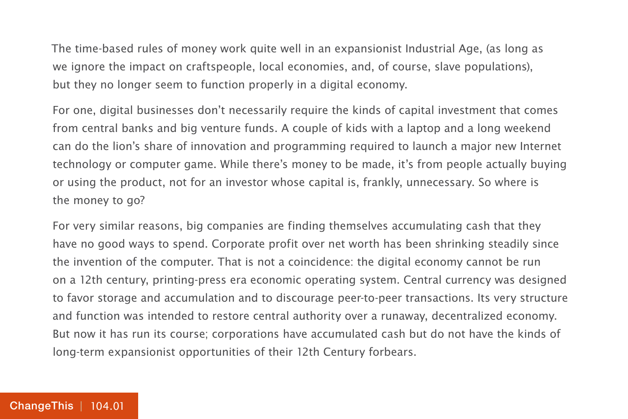The time-based rules of money work quite well in an expansionist Industrial Age, (as long as we ignore the impact on craftspeople, local economies, and, of course, slave populations), but they no longer seem to function properly in a digital economy.

For one, digital businesses don't necessarily require the kinds of capital investment that comes from central banks and big venture funds. A couple of kids with a laptop and a long weekend can do the lion's share of innovation and programming required to launch a major new Internet technology or computer game. While there's money to be made, it's from people actually buying or using the product, not for an investor whose capital is, frankly, unnecessary. So where is the money to go?

For very similar reasons, big companies are finding themselves accumulating cash that they have no good ways to spend. Corporate profit over net worth has been shrinking steadily since the invention of the computer. That is not a coincidence: the digital economy cannot be run on a 12th century, printing-press era economic operating system. Central currency was designed to favor storage and accumulation and to discourage peer-to-peer transactions. Its very structure and function was intended to restore central authority over a runaway, decentralized economy. But now it has run its course; corporations have accumulated cash but do not have the kinds of long-term expansionist opportunities of their 12th Century forbears.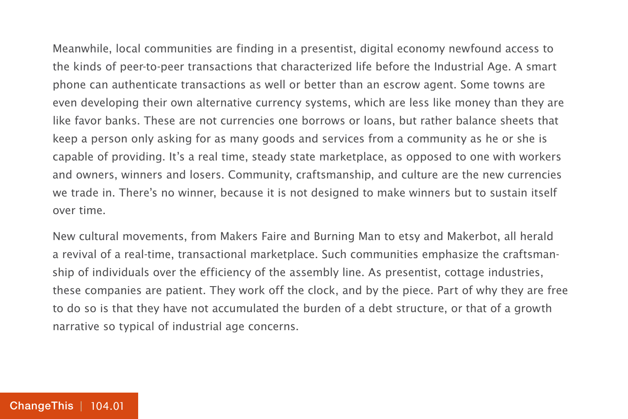Meanwhile, local communities are finding in a presentist, digital economy newfound access to the kinds of peer-to-peer transactions that characterized life before the Industrial Age. A smart phone can authenticate transactions as well or better than an escrow agent. Some towns are even developing their own alternative currency systems, which are less like money than they are like favor banks. These are not currencies one borrows or loans, but rather balance sheets that keep a person only asking for as many goods and services from a community as he or she is capable of providing. It's a real time, steady state marketplace, as opposed to one with workers and owners, winners and losers. Community, craftsmanship, and culture are the new currencies we trade in. There's no winner, because it is not designed to make winners but to sustain itself over time.

New cultural movements, from Makers Faire and Burning Man to etsy and Makerbot, all herald a revival of a real-time, transactional marketplace. Such communities emphasize the craftsmanship of individuals over the efficiency of the assembly line. As presentist, cottage industries, these companies are patient. They work off the clock, and by the piece. Part of why they are free to do so is that they have not accumulated the burden of a debt structure, or that of a growth narrative so typical of industrial age concerns.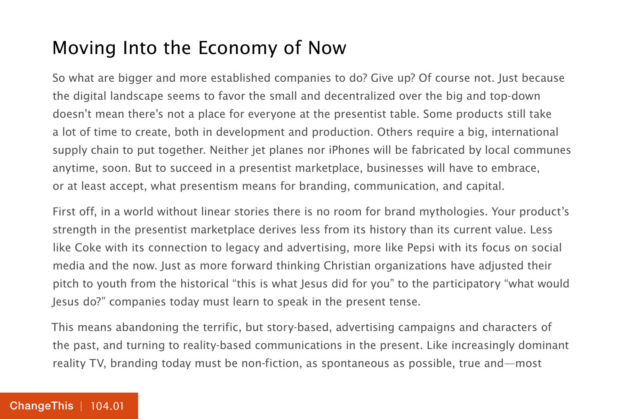#### Moving Into the Economy of Now

So what are bigger and more established companies to do? Give up? Of course not. Just because the digital landscape seems to favor the small and decentralized over the big and top-down doesn't mean there's not a place for everyone at the presentist table. Some products still take a lot of time to create, both in development and production. Others require a big, international supply chain to put together. Neither jet planes nor iPhones will be fabricated by local communes anytime, soon. But to succeed in a presentist marketplace, businesses will have to embrace, or at least accept, what presentism means for branding, communication, and capital.

First off, in a world without linear stories there is no room for brand mythologies. Your product's strength in the presentist marketplace derives less from its history than its current value. Less like Coke with its connection to legacy and advertising, more like Pepsi with its focus on social media and the now. Just as more forward thinking Christian organizations have adjusted their pitch to youth from the historical "this is what Jesus did for you" to the participatory "what would Jesus do?" companies today must learn to speak in the present tense.

This means abandoning the terrific, but story-based, advertising campaigns and characters of the past, and turning to reality-based communications in the present. Like increasingly dominant reality TV, branding today must be non-fiction, as spontaneous as possible, true and—most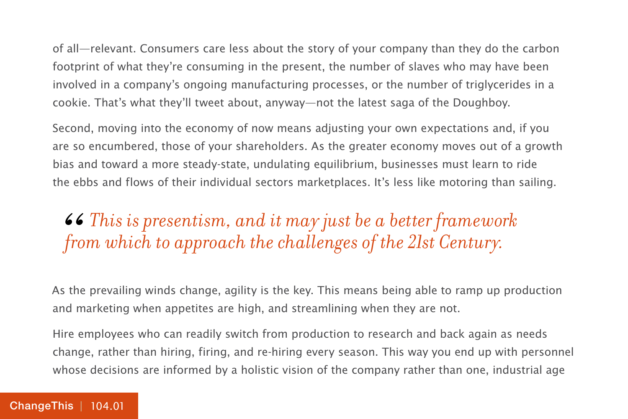of all—relevant. Consumers care less about the story of your company than they do the carbon footprint of what they're consuming in the present, the number of slaves who may have been involved in a company's ongoing manufacturing processes, or the number of triglycerides in a cookie. That's what they'll tweet about, anyway—not the latest saga of the Doughboy.

Second, moving into the economy of now means adjusting your own expectations and, if you are so encumbered, those of your shareholders. As the greater economy moves out of a growth bias and toward a more steady-state, undulating equilibrium, businesses must learn to ride the ebbs and flows of their individual sectors marketplaces. It's less like motoring than sailing.

## $\bullet$   $\bullet$  This is presentism, and it may just be a better framework from which to approach the challenges of the 21st Century. *from which to approach the challenges of the 21st Century.*

As the prevailing winds change, agility is the key. This means being able to ramp up production and marketing when appetites are high, and streamlining when they are not.

Hire employees who can readily switch from production to research and back again as needs change, rather than hiring, firing, and re-hiring every season. This way you end up with personnel whose decisions are informed by a holistic vision of the company rather than one, industrial age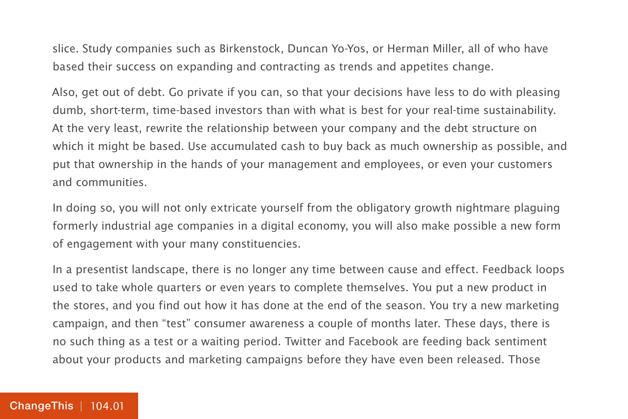slice. Study companies such as Birkenstock, Duncan Yo-Yos, or Herman Miller, all of who have based their success on expanding and contracting as trends and appetites change.

Also, get out of debt. Go private if you can, so that your decisions have less to do with pleasing dumb, short-term, time-based investors than with what is best for your real-time sustainability. At the very least, rewrite the relationship between your company and the debt structure on which it might be based. Use accumulated cash to buy back as much ownership as possible, and put that ownership in the hands of your management and employees, or even your customers and communities.

In doing so, you will not only extricate yourself from the obligatory growth nightmare plaguing formerly industrial age companies in a digital economy, you will also make possible a new form of engagement with your many constituencies.

In a presentist landscape, there is no longer any time between cause and effect. Feedback loops used to take whole quarters or even years to complete themselves. You put a new product in the stores, and you find out how it has done at the end of the season. You try a new marketing campaign, and then "test" consumer awareness a couple of months later. These days, there is no such thing as a test or a waiting period. Twitter and Facebook are feeding back sentiment about your products and marketing campaigns before they have even been released. Those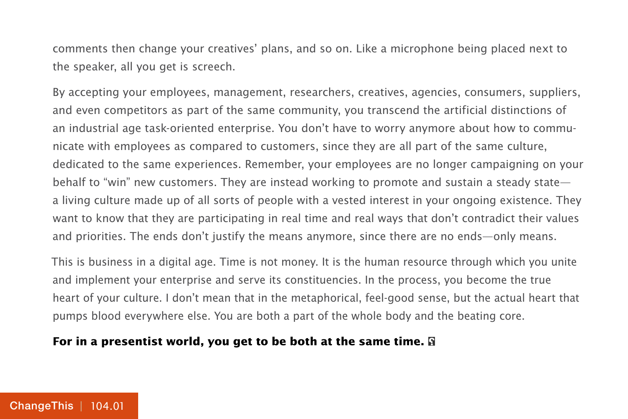comments then change your creatives' plans, and so on. Like a microphone being placed next to the speaker, all you get is screech.

By accepting your employees, management, researchers, creatives, agencies, consumers, suppliers, and even competitors as part of the same community, you transcend the artificial distinctions of an industrial age task-oriented enterprise. You don't have to worry anymore about how to communicate with employees as compared to customers, since they are all part of the same culture, dedicated to the same experiences. Remember, your employees are no longer campaigning on your behalf to "win" new customers. They are instead working to promote and sustain a steady state a living culture made up of all sorts of people with a vested interest in your ongoing existence. They want to know that they are participating in real time and real ways that don't contradict their values and priorities. The ends don't justify the means anymore, since there are no ends—only means.

This is business in a digital age. Time is not money. It is the human resource through which you unite and implement your enterprise and serve its constituencies. In the process, you become the true heart of your culture. I don't mean that in the metaphorical, feel-good sense, but the actual heart that pumps blood everywhere else. You are both a part of the whole body and the beating core.

#### **For in a presentist world, you get to be both at the same time.**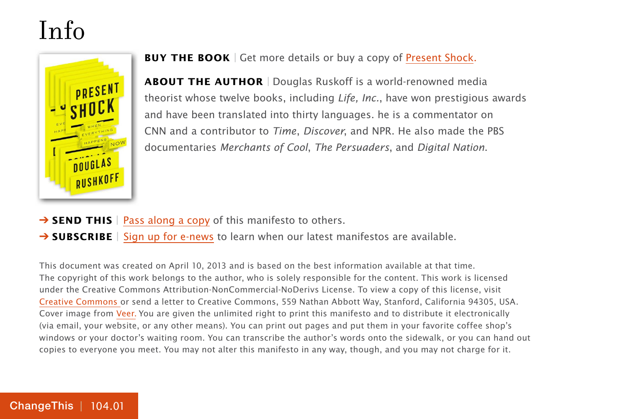## Info



**BUY THE BOOK** | Get more details or buy a copy of [Present Shock.](http://800ceoread.com/book/show/9781591844761-Present_Shock)

**ABOUT THE AUTHOR** | Douglas Ruskoff is a world-renowned media theorist whose twelve books, including Life, Inc., have won prestigious awards and have been translated into thirty languages. he is a commentator on CNN and a contributor to Time, Discover, and NPR. He also made the PBS documentaries Merchants of Cool, The Persuaders, and Digital Nation.

- **→ SEND THIS** | [Pass along a copy](http://www.changethis.com/104.01.PresentShock/email) of this manifesto to others.
- → **SUBSCRIBE** | Sign up fo[r e-news](http://changethis.com/page/show/e_mail_newsletter) to learn when our latest manifestos are available.

This document was created on April 10, 2013 and is based on the best information available at that time. The copyright of this work belongs to the author, who is solely responsible for the content. This work is licensed under the Creative Commons Attribution-NonCommercial-NoDerivs License. To view a copy of this license, visit [Creative Commons](http://creativecommons.org/licenses/by-nc-nd/2.0/) or send a letter to Creative Commons, 559 Nathan Abbott Way, Stanford, California 94305, USA. Cover image from [Veer.](http://www.veer.com/) You are given the unlimited right to print this manifesto and to distribute it electronically (via email, your website, or any other means). You can print out pages and put them in your favorite coffee shop's windows or your doctor's waiting room. You can transcribe the author's words onto the sidewalk, or you can hand out copies to everyone you meet. You may not alter this manifesto in any way, though, and you may not charge for it.